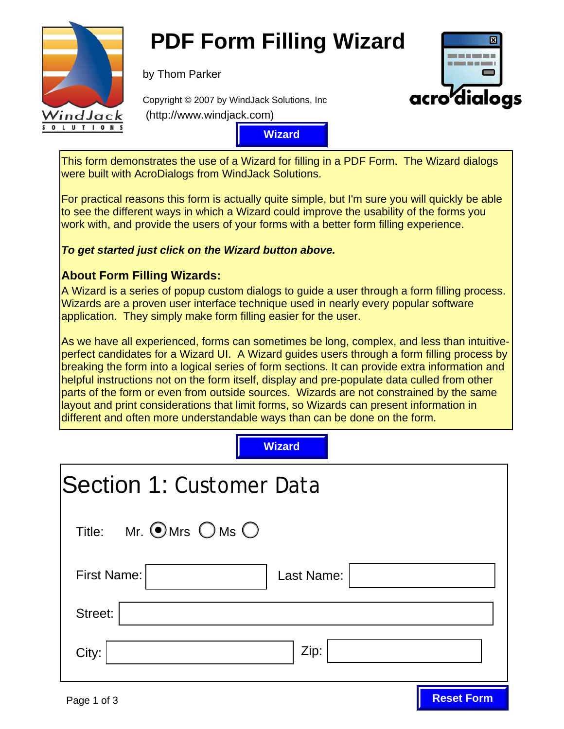

# **PDF Form Filling Wizard**

by Thom Parker



**Reset Form**

Copyright © 2007 by WindJack Solutions, Inc (http://www.windjack.com)

**Wizard** 

This form demonstrates the use of a Wizard for filling in a PDF Form. The Wizard dialogs were built with AcroDialogs from WindJack Solutions.

For practical reasons this form is actually quite simple, but I'm sure you will quickly be able to see the different ways in which a Wizard could improve the usability of the forms you work with, and provide the users of your forms with a better form filling experience.

### **To get started just click on the Wizard button above.**

## **About Form Filling Wizards:**

A Wizard is a series of popup custom dialogs to guide a user through a form filling process. Wizards are a proven user interface technique used in nearly every popular software application. They simply make form filling easier for the user.

As we have all experienced, forms can sometimes be long, complex, and less than intuitiveperfect candidates for a Wizard UI. A Wizard guides users through a form filling process by breaking the form into a logical series of form sections. It can provide extra information and helpful instructions not on the form itself, display and pre-populate data culled from other parts of the form or even from outside sources. Wizards are not constrained by the same layout and print considerations that limit forms, so Wizards can present information in different and often more understandable ways than can be done on the form. Wizard<br>
Indertick<br>
Indertick<br>
Soluti<br>
Indertick<br>
Indertick<br>
Indertick<br>
Indertick<br>
Indertick<br>
Indertick<br>
Indertick<br>
Indertick<br>
Indertick<br>
Indertick<br>
Indertick<br>
Indertick<br>
Indertick<br>
Indertick<br>
Indertick<br>
Indertick<br>
Indertic

| Wizard                                                |  |
|-------------------------------------------------------|--|
| <b>Section 1: Customer Data</b>                       |  |
| Mr. $\bigcirc$ Mrs $\bigcirc$ Ms $\bigcirc$<br>Title: |  |
| <b>First Name:</b><br>Last Name:                      |  |
| Street:                                               |  |
| Zip:<br>City:                                         |  |
|                                                       |  |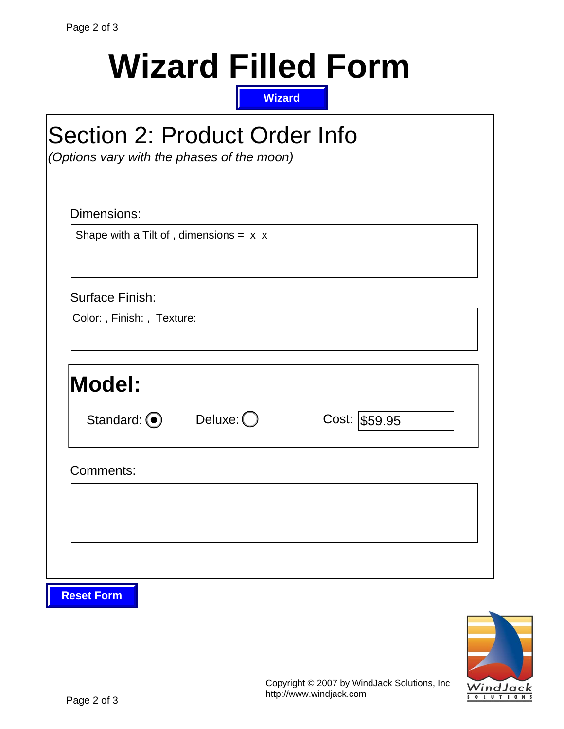| Cost: \$59.95 |
|---------------|
|               |
|               |
|               |